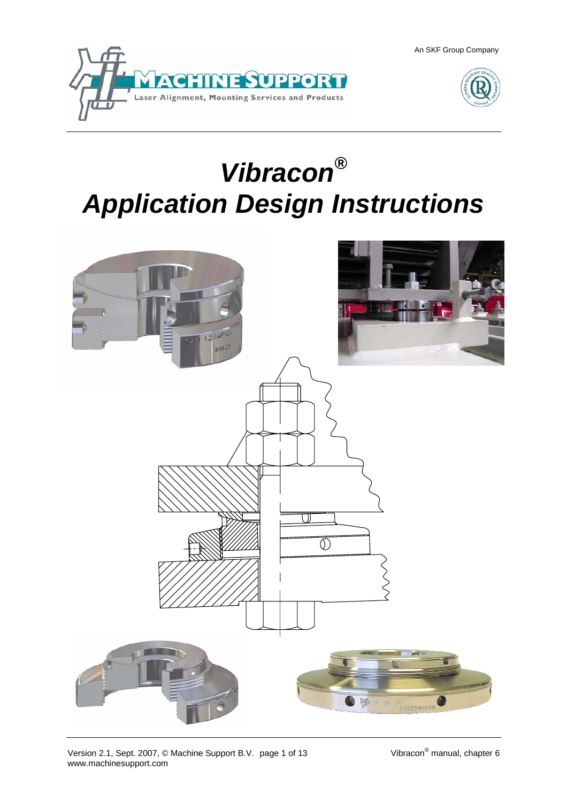



# *Vibracon® Application Design Instructions*

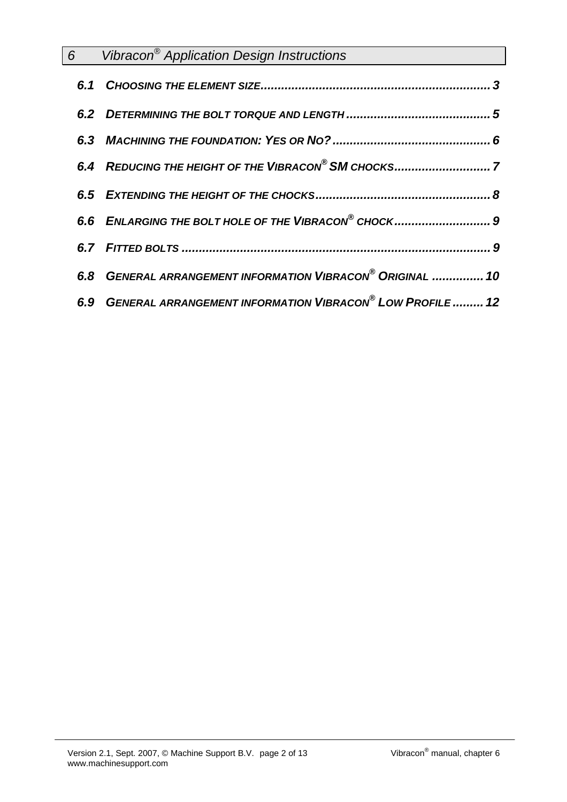| 6 Vibracon <sup>®</sup> Application Design Instructions       |
|---------------------------------------------------------------|
|                                                               |
|                                                               |
|                                                               |
|                                                               |
|                                                               |
| 6.6 ENLARGING THE BOLT HOLE OF THE VIBRACON® CHOCK 9          |
|                                                               |
| 6.8 GENERAL ARRANGEMENT INFORMATION VIBRACON® ORIGINAL  10    |
| 6.9 GENERAL ARRANGEMENT INFORMATION VIBRACON® LOW PROFILE  12 |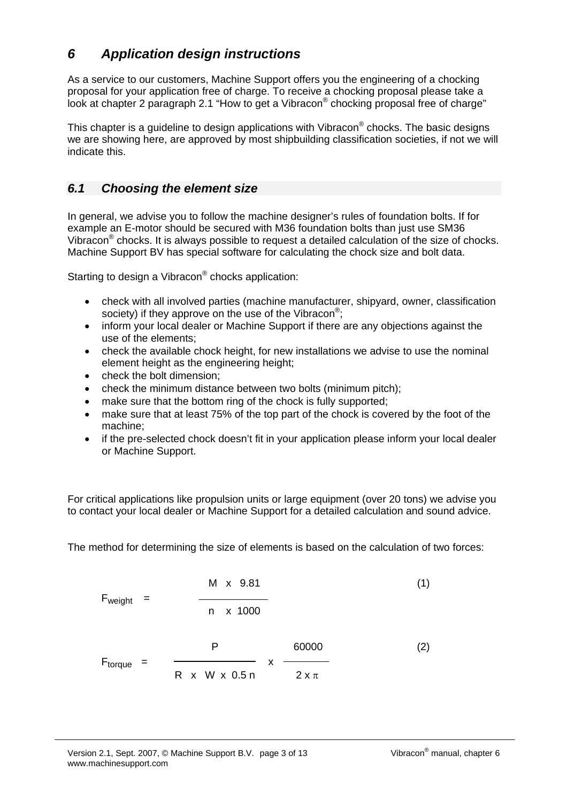## *6 Application design instructions*

As a service to our customers, Machine Support offers you the engineering of a chocking proposal for your application free of charge. To receive a chocking proposal please take a look at chapter 2 paragraph 2.1 "How to get a Vibracon® chocking proposal free of charge"

This chapter is a guideline to design applications with Vibracon<sup>®</sup> chocks. The basic designs we are showing here, are approved by most shipbuilding classification societies, if not we will indicate this.

## *6.1 Choosing the element size*

In general, we advise you to follow the machine designer's rules of foundation bolts. If for example an E-motor should be secured with M36 foundation bolts than just use SM36 Vibracon® chocks. It is always possible to request a detailed calculation of the size of chocks. Machine Support BV has special software for calculating the chock size and bolt data.

Starting to design a Vibracon<sup>®</sup> chocks application:

- check with all involved parties (machine manufacturer, shipyard, owner, classification society) if they approve on the use of the Vibracon<sup>®</sup>;
- inform your local dealer or Machine Support if there are any objections against the use of the elements;
- check the available chock height, for new installations we advise to use the nominal element height as the engineering height;
- check the bolt dimension;
- check the minimum distance between two bolts (minimum pitch);
- make sure that the bottom ring of the chock is fully supported;
- make sure that at least 75% of the top part of the chock is covered by the foot of the machine;
- if the pre-selected chock doesn't fit in your application please inform your local dealer or Machine Support.

For critical applications like propulsion units or large equipment (over 20 tons) we advise you to contact your local dealer or Machine Support for a detailed calculation and sound advice.

The method for determining the size of elements is based on the calculation of two forces:

$$
F_{weight} = \frac{M \times 9.81}{n \times 1000}
$$
\n
$$
F_{torque} = \frac{P}{R \times W \times 0.5 n} \times \frac{60000}{2 \times \pi}
$$
\n(1)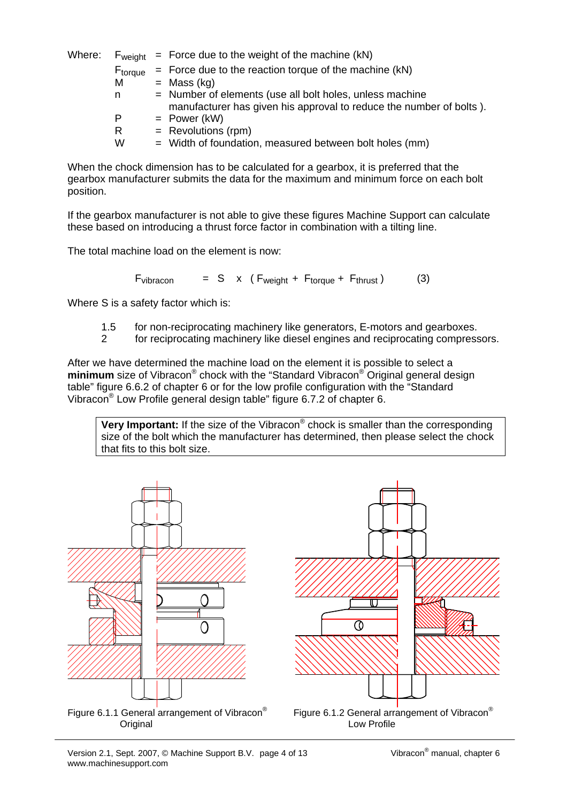| Where: | F <sub>weight</sub> | $=$ Force due to the weight of the machine (kN)                     |
|--------|---------------------|---------------------------------------------------------------------|
|        | F <sub>torque</sub> | $=$ Force due to the reaction torque of the machine (kN)            |
|        | м                   | $=$ Mass (kg)                                                       |
|        | n                   | = Number of elements (use all bolt holes, unless machine            |
|        |                     | manufacturer has given his approval to reduce the number of bolts). |
|        | P                   | $=$ Power (kW)                                                      |
|        | R                   | $=$ Revolutions (rpm)                                               |
|        | w                   | = Width of foundation, measured between bolt holes (mm)             |

When the chock dimension has to be calculated for a gearbox, it is preferred that the gearbox manufacturer submits the data for the maximum and minimum force on each bolt position.

If the gearbox manufacturer is not able to give these figures Machine Support can calculate these based on introducing a thrust force factor in combination with a tilting line.

The total machine load on the element is now:

 $F_{vibracon}$  = S x ( $F_{weight}$  +  $F_{torque}$  +  $F_{thrust}$ ) (3)

Where S is a safety factor which is:

- 1.5 for non-reciprocating machinery like generators, E-motors and gearboxes.
- 2 for reciprocating machinery like diesel engines and reciprocating compressors.

After we have determined the machine load on the element it is possible to select a **minimum** size of Vibracon<sup>®</sup> chock with the "Standard Vibracon<sup>®</sup> Original general design table" figure 6.6.2 of chapter 6 or for the low profile configuration with the "Standard Vibracon® Low Profile general design table" figure 6.7.2 of chapter 6.

**Very Important:** If the size of the Vibracon<sup>®</sup> chock is smaller than the corresponding size of the bolt which the manufacturer has determined, then please select the chock that fits to this bolt size.





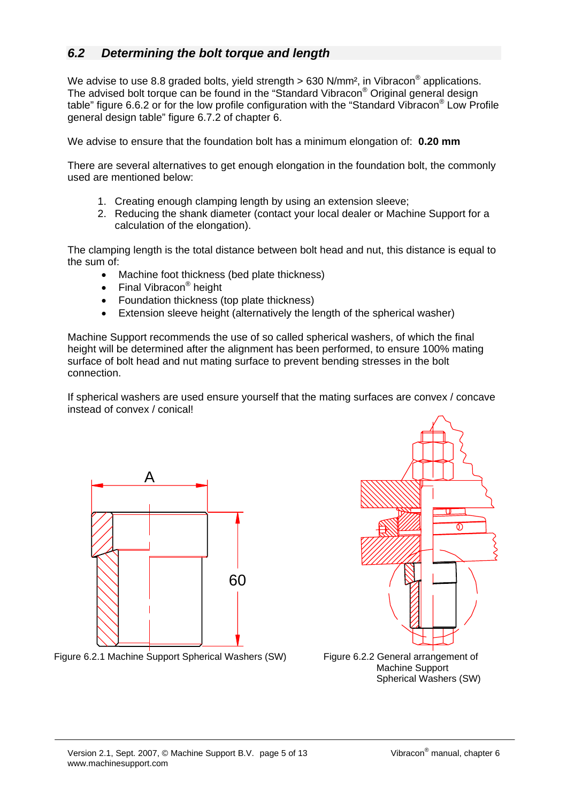### *6.2 Determining the bolt torque and length*

We advise to use 8.8 graded bolts, yield strength  $> 630$  N/mm<sup>2</sup>, in Vibracon<sup>®</sup> applications. The advised bolt torque can be found in the "Standard Vibracon<sup>®</sup> Original general design table" figure 6.6.2 or for the low profile configuration with the "Standard Vibracon® Low Profile general design table" figure 6.7.2 of chapter 6.

We advise to ensure that the foundation bolt has a minimum elongation of: **0.20 mm** 

There are several alternatives to get enough elongation in the foundation bolt, the commonly used are mentioned below:

- 1. Creating enough clamping length by using an extension sleeve;
- 2. Reducing the shank diameter (contact your local dealer or Machine Support for a calculation of the elongation).

The clamping length is the total distance between bolt head and nut, this distance is equal to the sum of:

- Machine foot thickness (bed plate thickness)
- Final Vibracon<sup>®</sup> height
- Foundation thickness (top plate thickness)
- Extension sleeve height (alternatively the length of the spherical washer)

Machine Support recommends the use of so called spherical washers, of which the final height will be determined after the alignment has been performed, to ensure 100% mating surface of bolt head and nut mating surface to prevent bending stresses in the bolt connection.

If spherical washers are used ensure yourself that the mating surfaces are convex / concave instead of convex / conical!





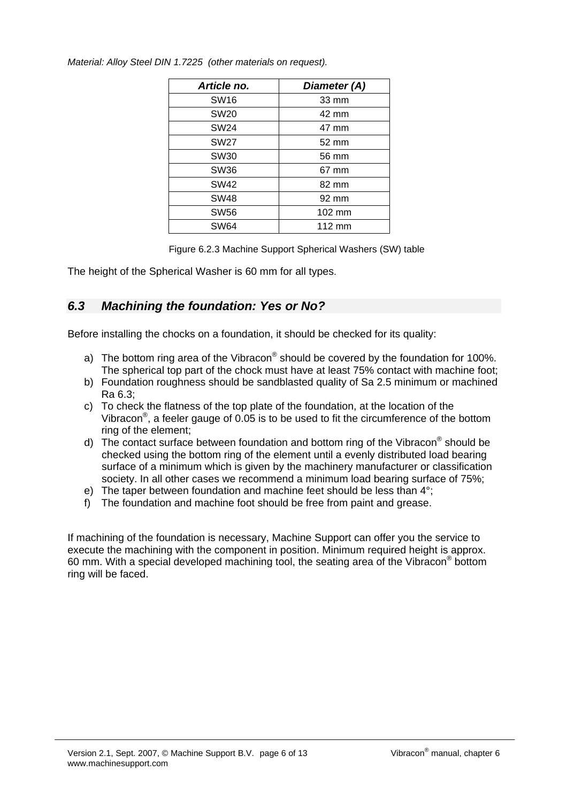| Article no.      | Diameter (A) |
|------------------|--------------|
| <b>SW16</b>      | 33 mm        |
| <b>SW20</b>      | 42 mm        |
| <b>SW24</b>      | 47 mm        |
| <b>SW27</b>      | 52 mm        |
| SW <sub>30</sub> | 56 mm        |
| SW36             | 67 mm        |
| <b>SW42</b>      | 82 mm        |
| <b>SW48</b>      | 92 mm        |
| <b>SW56</b>      | 102 mm       |
| <b>SW64</b>      | 112 mm       |

*Material: Alloy Steel DIN 1.7225 (other materials on request).* 

Figure 6.2.3 Machine Support Spherical Washers (SW) table

The height of the Spherical Washer is 60 mm for all types.

#### *6.3 Machining the foundation: Yes or No?*

Before installing the chocks on a foundation, it should be checked for its quality:

- a) The bottom ring area of the Vibracon® should be covered by the foundation for 100%. The spherical top part of the chock must have at least 75% contact with machine foot;
- b) Foundation roughness should be sandblasted quality of Sa 2.5 minimum or machined Ra 6.3;
- c) To check the flatness of the top plate of the foundation, at the location of the Vibracon®, a feeler gauge of 0.05 is to be used to fit the circumference of the bottom ring of the element;
- d) The contact surface between foundation and bottom ring of the Vibracon® should be checked using the bottom ring of the element until a evenly distributed load bearing surface of a minimum which is given by the machinery manufacturer or classification society. In all other cases we recommend a minimum load bearing surface of 75%;
- e) The taper between foundation and machine feet should be less than 4°;
- f) The foundation and machine foot should be free from paint and grease.

If machining of the foundation is necessary, Machine Support can offer you the service to execute the machining with the component in position. Minimum required height is approx. 60 mm. With a special developed machining tool, the seating area of the Vibracon® bottom ring will be faced.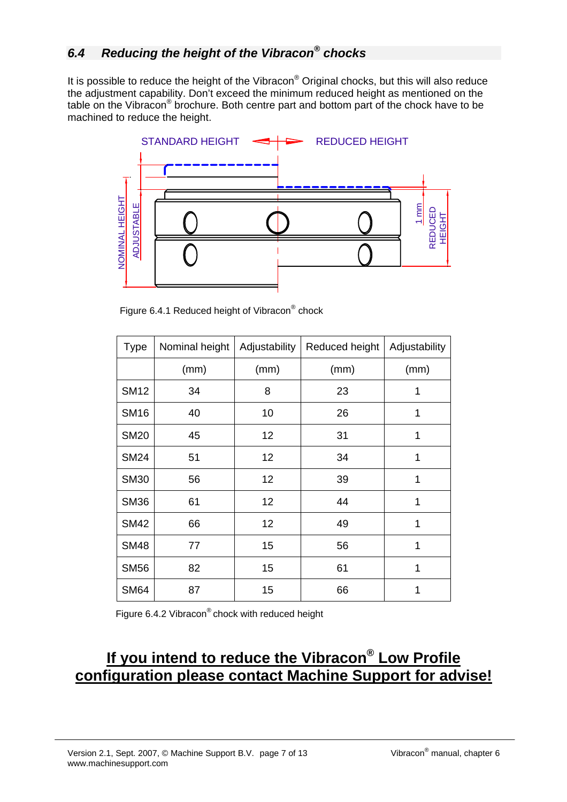It is possible to reduce the height of the Vibracon® Original chocks, but this will also reduce the adjustment capability. Don't exceed the minimum reduced height as mentioned on the table on the Vibracon® brochure. Both centre part and bottom part of the chock have to be machined to reduce the height.



Figure 6.4.1 Reduced height of Vibracon<sup>®</sup> chock

| <b>Type</b> | Nominal height | Adjustability | Reduced height | Adjustability |
|-------------|----------------|---------------|----------------|---------------|
|             | (mm)           | (mm)          | (mm)           | (mm)          |
| <b>SM12</b> | 34             | 8             | 23             | 1             |
| <b>SM16</b> | 40             | 10            | 26             | 1             |
| <b>SM20</b> | 45             | 12            | 31             | 1             |
| <b>SM24</b> | 51             | 12            | 34             | 1             |
| <b>SM30</b> | 56             | 12            | 39             | 1             |
| <b>SM36</b> | 61             | 12            | 44             | 1             |
| <b>SM42</b> | 66             | 12            | 49             | 1             |
| <b>SM48</b> | 77             | 15            | 56             | 1             |
| <b>SM56</b> | 82             | 15            | 61             | 1             |
| <b>SM64</b> | 87             | 15            | 66             | 1             |

Figure 6.4.2 Vibracon® chock with reduced height

# **If you intend to reduce the Vibracon® Low Profile configuration please contact Machine Support for advise!**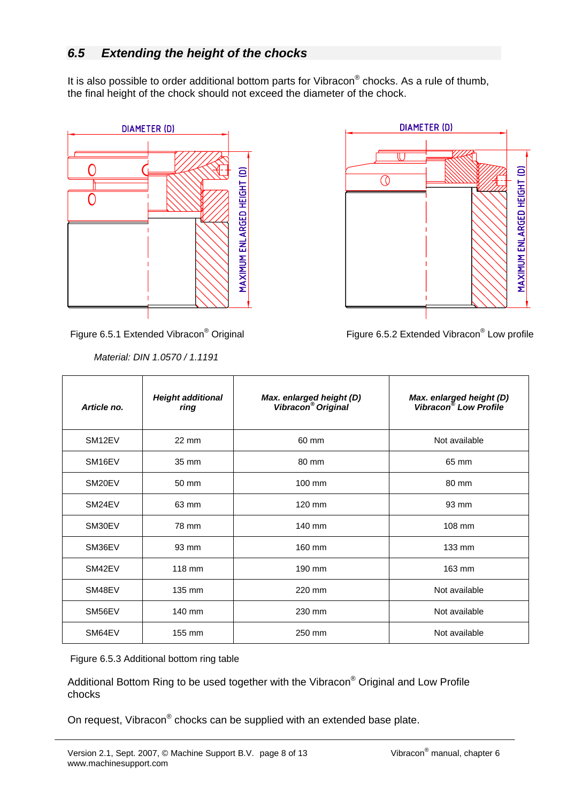It is also possible to order additional bottom parts for Vibracon® chocks. As a rule of thumb, the final height of the chock should not exceed the diameter of the chock.



Figure 6.5.1 Extended Vibracon<sup>®</sup> Original

 *Material: DIN 1.0570 / 1.1191* 



Original **Figure 6.5.2 Extended Vibracon®** Low profile

| Article no.         | <b>Height additional</b><br>ring | Max. enlarged height (D)<br>Vibracon <sup>®</sup> Original | <b>Max. enlarged height (D)</b><br>Vibracon <sup>®</sup> Low Profile |
|---------------------|----------------------------------|------------------------------------------------------------|----------------------------------------------------------------------|
| SM <sub>12EV</sub>  | 22 mm                            | 60 mm                                                      | Not available                                                        |
| SM <sub>16</sub> EV | 35 mm                            | 80 mm                                                      | 65 mm                                                                |
| SM20EV              | 50 mm                            | 100 mm                                                     | 80 mm                                                                |
| SM24EV              | 63 mm                            | 120 mm                                                     | 93 mm                                                                |
| SM30EV              | 78 mm                            | 140 mm                                                     | 108 mm                                                               |
| SM36EV              | 93 mm                            | 160 mm                                                     | 133 mm                                                               |
| SM42EV              | 118 mm                           | 190 mm                                                     | 163 mm                                                               |
| SM48EV              | 135 mm                           | 220 mm                                                     | Not available                                                        |
| SM56EV              | 140 mm                           | 230 mm                                                     | Not available                                                        |
| SM64EV              | 155 mm                           | 250 mm                                                     | Not available                                                        |

Figure 6.5.3 Additional bottom ring table

Additional Bottom Ring to be used together with the Vibracon® Original and Low Profile chocks

On request, Vibracon® chocks can be supplied with an extended base plate.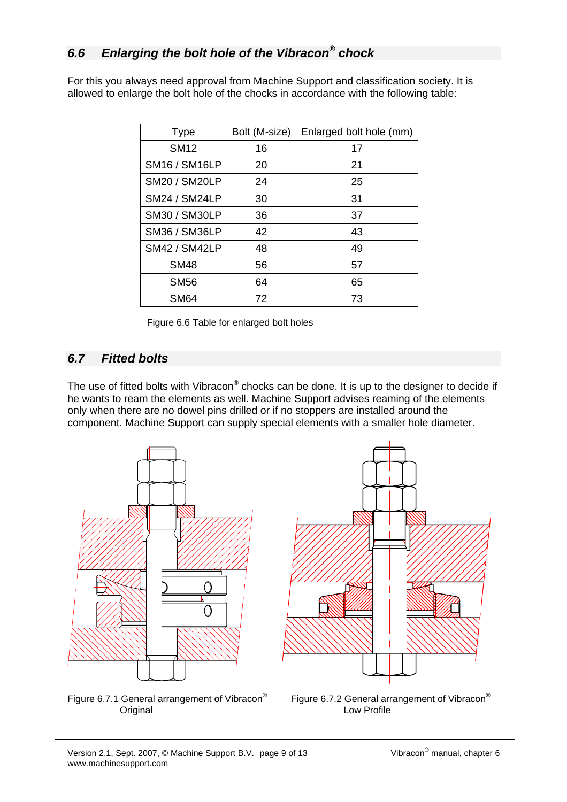## *6.6 Enlarging the bolt hole of the Vibracon® chock*

For this you always need approval from Machine Support and classification society. It is allowed to enlarge the bolt hole of the chocks in accordance with the following table:

| <b>Type</b>          | Bolt (M-size) | Enlarged bolt hole (mm) |
|----------------------|---------------|-------------------------|
| <b>SM12</b>          | 16            | 17                      |
| <b>SM16 / SM16LP</b> | 20            | 21                      |
| <b>SM20 / SM20LP</b> | 24            | 25                      |
| <b>SM24 / SM24LP</b> | 30            | 31                      |
| SM30 / SM30LP        | 36            | 37                      |
| <b>SM36 / SM36LP</b> | 42            | 43                      |
| <b>SM42 / SM42LP</b> | 48            | 49                      |
| <b>SM48</b>          | 56            | 57                      |
| <b>SM56</b>          | 64            | 65                      |
| SM <sub>64</sub>     | 72            | 73                      |

Figure 6.6 Table for enlarged bolt holes

#### *6.7 Fitted bolts*

The use of fitted bolts with Vibracon® chocks can be done. It is up to the designer to decide if he wants to ream the elements as well. Machine Support advises reaming of the elements only when there are no dowel pins drilled or if no stoppers are installed around the component. Machine Support can supply special elements with a smaller hole diameter.







Figure 6.7.2 General arrangement of Vibracon®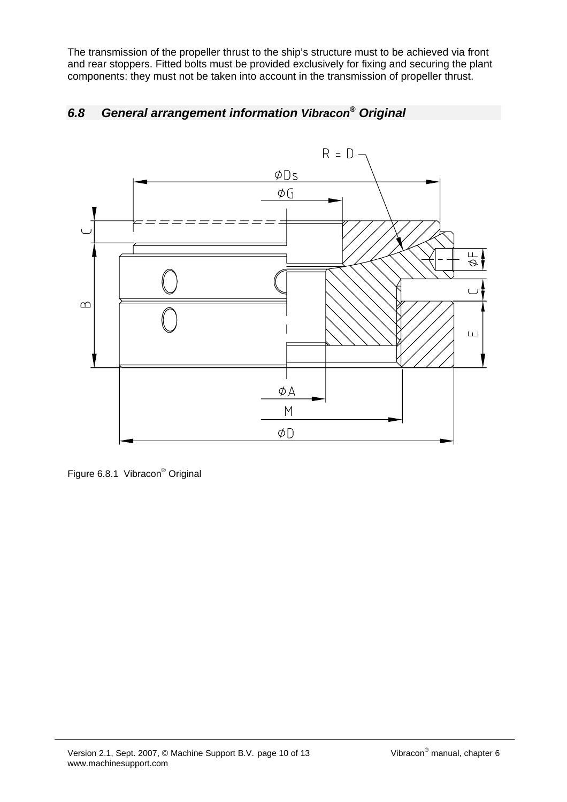The transmission of the propeller thrust to the ship's structure must to be achieved via front and rear stoppers. Fitted bolts must be provided exclusively for fixing and securing the plant components: they must not be taken into account in the transmission of propeller thrust.

## *6.8 General arrangement information Vibracon® Original*



Figure 6.8.1 Vibracon<sup>®</sup> Original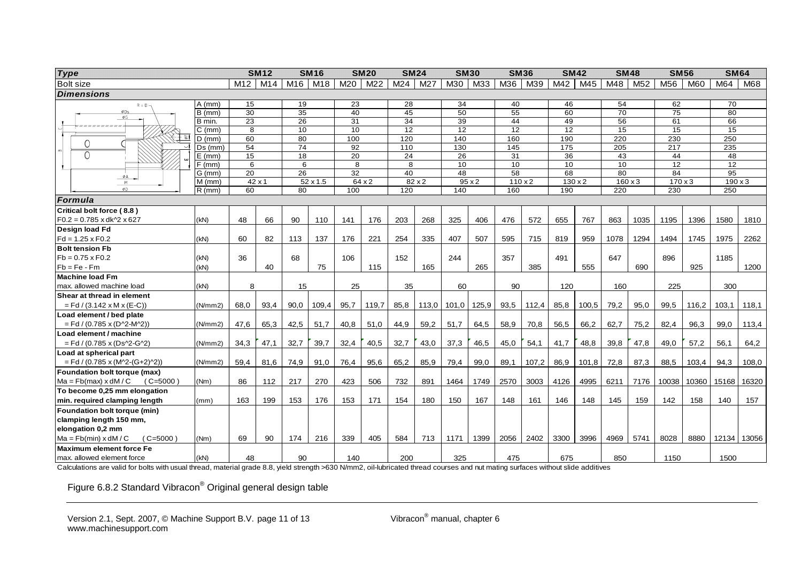| <b>Type</b>                                   |               |                 | <b>SM12</b>   |                 | <b>SM16</b>     |      | <b>SM20</b> | <b>SM24</b>     |       |                 | <b>SM30</b>   | <b>SM36</b>     |                | <b>SM42</b>     |                | <b>SM48</b>     |                 | <b>SM56</b>     |            | <b>SM64</b>      |       |
|-----------------------------------------------|---------------|-----------------|---------------|-----------------|-----------------|------|-------------|-----------------|-------|-----------------|---------------|-----------------|----------------|-----------------|----------------|-----------------|-----------------|-----------------|------------|------------------|-------|
| <b>Bolt size</b>                              |               | M12             | M14           | M16             | M18             | M20  | M22         | M24             | M27   | M30             | M33           | M36             | M39            | M42             | M45            | M48             | M <sub>52</sub> | M <sub>56</sub> | <b>M60</b> | M64              | M68   |
| <b>Dimensions</b>                             |               |                 |               |                 |                 |      |             |                 |       |                 |               |                 |                |                 |                |                 |                 |                 |            |                  |       |
| $R = D -$                                     | $A$ (mm)      | 15              |               | 19              |                 | 23   |             | 28              |       | 34              |               | 40              |                | 46              |                | 54              |                 | 62              |            | $\overline{70}$  |       |
| ØDs                                           | B (mm)        | 30              |               | 35              |                 | 40   |             | 45              |       | 50              |               | 55              |                | 60              |                | $\overline{70}$ |                 | 75              |            | 80               |       |
| $\phi$ G                                      | B min.        | $\overline{23}$ |               | 26              |                 | 31   |             | 34              |       | 39              |               | 44              |                | 49              |                | 56              |                 | 61              |            | 66               |       |
|                                               | C (mm)        | 8               |               |                 | 10              |      | 10          | $\overline{12}$ |       | $\overline{12}$ |               | $\overline{12}$ |                | $\overline{12}$ |                | 15              |                 | $\overline{15}$ |            | 15               |       |
| ୍ବା<br>Ο                                      | $D$ (mm)      | 60              |               | 80              |                 | 100  |             | 120             |       | 140             |               | 160             |                | 190             |                | 220             |                 | 230             |            | 250              |       |
|                                               | $Ds$ ( $mm$ ) | 54              |               | 74              |                 | 92   |             | 110             |       | 130             |               | 145             |                | 175             |                | 205             |                 | 217             |            | 235              |       |
| $\Omega$                                      | $E$ (mm)      | 15              |               | 18              |                 | 20   |             | 24              |       | 26              |               | 31              |                | 36              |                | 43              |                 | 44              |            | 48               |       |
|                                               | $F$ (mm)      | 6               |               | 6               |                 | 8    |             | 8               |       | 10              |               | 10              |                | 10              |                | 10              |                 | 12              |            | 12               |       |
| ΦA                                            | $G$ (mm)      | $\overline{20}$ |               | $\overline{26}$ |                 | 32   |             | 40              |       | 48              |               | $\overline{58}$ |                | 68              |                | 80              |                 | 84              |            | $\overline{95}$  |       |
| M<br>ΦD                                       | $M$ (mm)      |                 | $42 \times 1$ |                 | $52 \times 1.5$ |      | 64x2        |                 | 82x2  |                 | $95 \times 2$ |                 | $110 \times 2$ |                 | $130 \times 2$ |                 | $160 \times 3$  | $170 \times 3$  |            | $190 \times 3$   |       |
|                                               | $R$ (mm)      | 60              |               | 80              |                 | 100  |             | 120             |       | 140             |               | 160             |                | 190             |                | 220             |                 | 230             |            | $\overline{250}$ |       |
| Formula                                       |               |                 |               |                 |                 |      |             |                 |       |                 |               |                 |                |                 |                |                 |                 |                 |            |                  |       |
| Critical bolt force (8.8)                     |               |                 |               |                 |                 |      |             |                 |       |                 |               |                 |                |                 |                |                 |                 |                 |            |                  |       |
| $F0.2 = 0.785$ x dk^2 x 627<br>Design load Fd | (KN)          | 48              | 66            | 90              | 110             | 141  | 176         | 203             | 268   | 325             | 406           | 476             | 572            | 655             | 767            | 863             | 1035            | 1195            | 1396       | 1580             | 1810  |
| $Fd = 1.25 \times F0.2$                       | (kN)          | 60              | 82            | 113             | 137             | 176  | 221         | 254             | 335   | 407             | 507           | 595             | 715            | 819             | 959            | 1078            | 1294            | 1494            | 1745       | 1975             | 2262  |
| <b>Bolt tension Fb</b>                        |               |                 |               |                 |                 |      |             |                 |       |                 |               |                 |                |                 |                |                 |                 |                 |            |                  |       |
| $Fb = 0.75 \times F0.2$                       | (kN)          | 36              |               | 68              |                 | 106  |             | 152             |       | 244             |               | 357             |                | 491             |                | 647             |                 | 896             |            | 1185             |       |
| $Fb = Fe - Fm$                                | (kN)          |                 | 40            |                 | 75              |      | 115         |                 | 165   |                 | 265           |                 | 385            |                 | 555            |                 | 690             |                 | 925        |                  | 1200  |
| <b>Machine load Fm</b>                        |               |                 |               |                 |                 |      |             |                 |       |                 |               |                 |                |                 |                |                 |                 |                 |            |                  |       |
| max. allowed machine load                     | (kN)          | 8               |               | 15              |                 | 25   |             | 35              |       | 60              |               | 90              |                | 120             |                | 160             |                 | 225             |            | 300              |       |
| Shear at thread in element                    |               |                 |               |                 |                 |      |             |                 |       |                 |               |                 |                |                 |                |                 |                 |                 |            |                  |       |
| $=$ Fd / (3.142 x M x (E-C))                  | (N/mm 2)      | 68,0            | 93,4          | 90,0            | 109,4           | 95,7 | 119,7       | 85,8            | 113,0 | 101,0           | 125,9         | 93,5            | 112,4          | 85,8            | 100,5          | 79,2            | 95,0            | 99,5            | 116,2      | 103,1            | 118,1 |
| Load element / bed plate                      |               |                 |               |                 |                 |      |             |                 |       |                 |               |                 |                |                 |                |                 |                 |                 |            |                  |       |
| $=$ Fd / (0.785 x (D^2-M^2))                  | (N/mm 2)      | 47.6            | 65,3          | 42,5            | 51,7            | 40,8 | 51,0        | 44,9            | 59,2  | 51,7            | 64,5          | 58,9            | 70,8           | 56,5            | 66,2           | 62,7            | 75,2            | 82,4            | 96,3       | 99,0             | 113,4 |
| Load element / machine                        |               |                 |               |                 |                 |      |             |                 |       |                 |               |                 |                |                 |                |                 |                 |                 |            |                  |       |
| $=$ Fd / (0.785 x (Ds^2-G^2)                  | (N/mm 2)      | 34,3            | 47,1          | 32,7            | 39,7            | 32,4 | 40,5        | 32,7            | 43,0  | 37,3            | 46,5          | 45,0            | 54,1           | 41,7            | 48,8           | 39,8            | 47,8            | 49,0            | 57,2       | 56,1             | 64,2  |
| Load at spherical part                        |               |                 |               |                 |                 |      |             |                 |       |                 |               |                 |                |                 |                |                 |                 |                 |            |                  |       |
| $=$ Fd / (0.785 x (M^2-(G+2)^2))              | (N/mm 2)      | 59,4            | 81,6          | 74,9            | 91,0            | 76,4 | 95,6        | 65,2            | 85,9  | 79,4            | 99,0          | 89,1            | 107,2          | 86,9            | 101,8          | 72,8            | 87,3            | 88,5            | 103,4      | 94,3             | 108,0 |
| Foundation bolt torque (max)                  |               |                 |               |                 |                 |      |             |                 |       |                 |               |                 |                |                 |                |                 |                 |                 |            |                  |       |
| $Ma = Fb(max) \times dM/C$<br>$(C=5000)$      | (Nm)          | 86              | 112           | 217             | 270             | 423  | 506         | 732             | 891   | 1464            | 1749          | 2570            | 3003           | 4126            | 4995           | 6211            | 7176            | 10038           | 10360      | 15168            | 16320 |
| To become 0,25 mm elongation                  |               |                 |               |                 |                 |      |             |                 |       |                 |               |                 |                |                 |                |                 |                 |                 |            |                  |       |
| min. required clamping length                 | (mm)          | 163             | 199           | 153             | 176             | 153  | 171         | 154             | 180   | 150             | 167           | 148             | 161            | 146             | 148            | 145             | 159             | 142             | 158        | 140              | 157   |
| Foundation bolt torque (min)                  |               |                 |               |                 |                 |      |             |                 |       |                 |               |                 |                |                 |                |                 |                 |                 |            |                  |       |
| clamping length 150 mm,                       |               |                 |               |                 |                 |      |             |                 |       |                 |               |                 |                |                 |                |                 |                 |                 |            |                  |       |
| elongation 0,2 mm                             |               |                 |               |                 |                 |      |             |                 |       |                 |               |                 |                |                 |                |                 |                 |                 |            |                  |       |
| $(C=5000)$<br>$Ma = Fb(min) \times dM/C$      | (Nm)          | 69              | 90            | 174             | 216             | 339  | 405         | 584             | 713   | 1171            | 1399          | 2056            | 2402           | 3300            | 3996           | 4969            | 5741            | 8028            | 8880       | 12134 13056      |       |
| <b>Maximum element force Fe</b>               |               |                 |               |                 |                 |      |             |                 |       |                 |               |                 |                |                 |                |                 |                 |                 |            |                  |       |
| max. allowed element force                    | (kN)          | 48              |               | 90              |                 | 140  |             | 200             |       | 325             |               | 475             |                | 675             |                | 850             |                 | 1150            |            | 1500             |       |

Calculations are valid for bolts with usual thread, material grade 8.8, yield strength >630 N/mm2, oil-lubricated thread courses and nut mating surfaces without slide additives

Figure 6.8.2 Standard Vibracon® Original general design table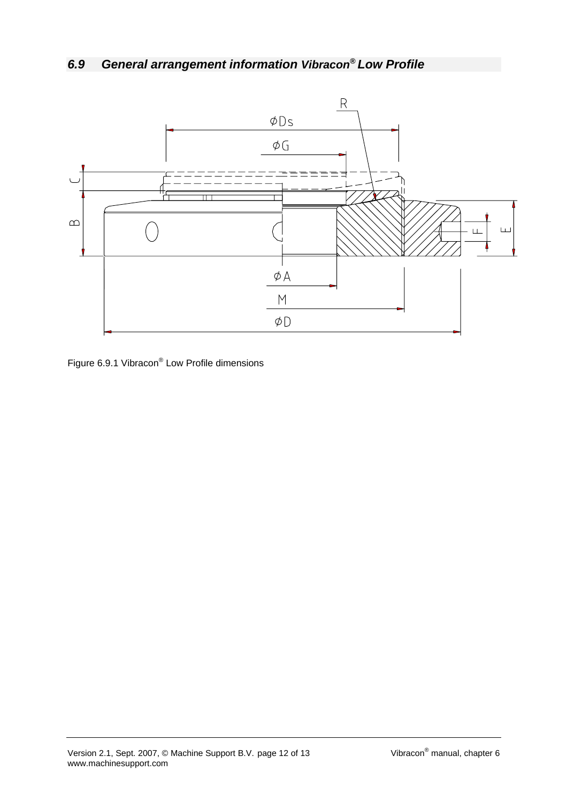# *6.9 General arrangement information Vibracon® Low Profile*



Figure 6.9.1 Vibracon® Low Profile dimensions